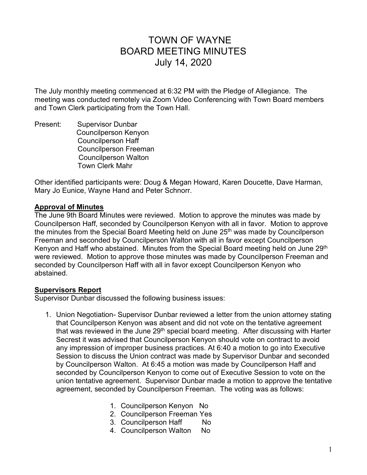# TOWN OF WAYNE BOARD MEETING MINUTES July 14, 2020

The July monthly meeting commenced at 6:32 PM with the Pledge of Allegiance. The meeting was conducted remotely via Zoom Video Conferencing with Town Board members and Town Clerk participating from the Town Hall.

Present: Supervisor Dunbar Councilperson Kenyon Councilperson Haff Councilperson Freeman Councilperson Walton Town Clerk Mahr

Other identified participants were: Doug & Megan Howard, Karen Doucette, Dave Harman, Mary Jo Eunice, Wayne Hand and Peter Schnorr.

# **Approval of Minutes**

The June 9th Board Minutes were reviewed. Motion to approve the minutes was made by Councilperson Haff, seconded by Councilperson Kenyon with all in favor. Motion to approve the minutes from the Special Board Meeting held on June 25<sup>th</sup> was made by Councilperson Freeman and seconded by Councilperson Walton with all in favor except Councilperson Kenyon and Haff who abstained. Minutes from the Special Board meeting held on June 29<sup>th</sup> were reviewed. Motion to approve those minutes was made by Councilperson Freeman and seconded by Councilperson Haff with all in favor except Councilperson Kenyon who abstained.

## **Supervisors Report**

Supervisor Dunbar discussed the following business issues:

- 1. Union Negotiation- Supervisor Dunbar reviewed a letter from the union attorney stating that Councilperson Kenyon was absent and did not vote on the tentative agreement that was reviewed in the June  $29<sup>th</sup>$  special board meeting. After discussing with Harter Secrest it was advised that Councilperson Kenyon should vote on contract to avoid any impression of improper business practices. At 6:40 a motion to go into Executive Session to discuss the Union contract was made by Supervisor Dunbar and seconded by Councilperson Walton. At 6:45 a motion was made by Councilperson Haff and seconded by Councilperson Kenyon to come out of Executive Session to vote on the union tentative agreement. Supervisor Dunbar made a motion to approve the tentative agreement, seconded by Councilperson Freeman. The voting was as follows:
	- 1. Councilperson Kenyon No
	- 2. Councilperson Freeman Yes
	- 3. Councilperson Haff No
	- 4. Councilperson Walton No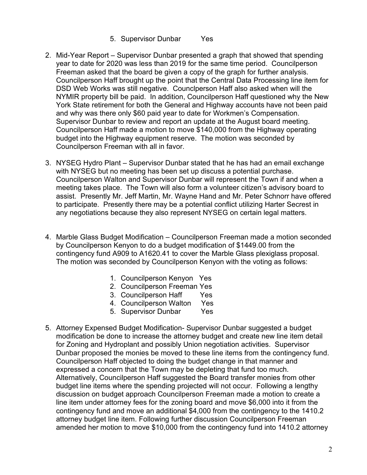#### 5. Supervisor Dunbar Yes

- 2. Mid-Year Report Supervisor Dunbar presented a graph that showed that spending year to date for 2020 was less than 2019 for the same time period. Councilperson Freeman asked that the board be given a copy of the graph for further analysis. Councilperson Haff brought up the point that the Central Data Processing line item for DSD Web Works was still negative. Counclperson Haff also asked when will the NYMIR property bill be paid. In addition, Councilperson Haff questioned why the New York State retirement for both the General and Highway accounts have not been paid and why was there only \$60 paid year to date for Workmen's Compensation. Supervisor Dunbar to review and report an update at the August board meeting. Councilperson Haff made a motion to move \$140,000 from the Highway operating budget into the Highway equipment reserve. The motion was seconded by Councilperson Freeman with all in favor.
- 3. NYSEG Hydro Plant Supervisor Dunbar stated that he has had an email exchange with NYSEG but no meeting has been set up discuss a potential purchase. Councilperson Walton and Supervisor Dunbar will represent the Town if and when a meeting takes place. The Town will also form a volunteer citizen's advisory board to assist. Presently Mr. Jeff Martin, Mr. Wayne Hand and Mr. Peter Schnorr have offered to participate. Presently there may be a potential conflict utilizing Harter Secrest in any negotiations because they also represent NYSEG on certain legal matters.
- 4. Marble Glass Budget Modification Councilperson Freeman made a motion seconded by Councilperson Kenyon to do a budget modification of \$1449.00 from the contingency fund A909 to A1620.41 to cover the Marble Glass plexiglass proposal. The motion was seconded by Councilperson Kenyon with the voting as follows:
	- 1. Councilperson Kenyon Yes
	- 2. Councilperson Freeman Yes
	- 3. Councilperson Haff Yes
	- 4. Councilperson Walton Yes
	- 5. Supervisor Dunbar Yes
- 5. Attorney Expensed Budget Modification- Supervisor Dunbar suggested a budget modification be done to increase the attorney budget and create new line item detail for Zoning and Hydroplant and possibly Union negotiation activities. Supervisor Dunbar proposed the monies be moved to these line items from the contingency fund. Councilperson Haff objected to doing the budget change in that manner and expressed a concern that the Town may be depleting that fund too much. Alternatively, Councilperson Haff suggested the Board transfer monies from other budget line items where the spending projected will not occur. Following a lengthy discussion on budget approach Councilperson Freeman made a motion to create a line item under attorney fees for the zoning board and move \$6,000 into it from the contingency fund and move an additional \$4,000 from the contingency to the 1410.2 attorney budget line item. Following further discussion Councilperson Freeman amended her motion to move \$10,000 from the contingency fund into 1410.2 attorney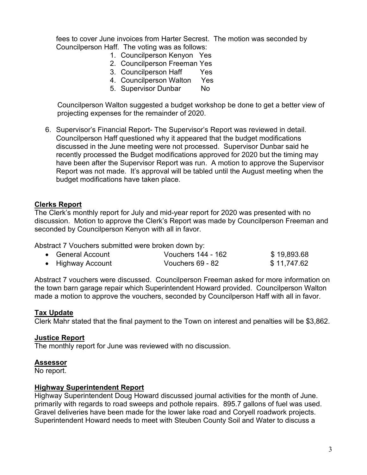fees to cover June invoices from Harter Secrest. The motion was seconded by Councilperson Haff. The voting was as follows:

- 1. Councilperson Kenyon Yes
- 2. Councilperson Freeman Yes
- 3. Councilperson Haff Yes
- 4. Councilperson Walton Yes
- 5. Supervisor Dunbar No

 Councilperson Walton suggested a budget workshop be done to get a better view of projecting expenses for the remainder of 2020.

6. Supervisor's Financial Report- The Supervisor's Report was reviewed in detail. Councilperson Haff questioned why it appeared that the budget modifications discussed in the June meeting were not processed. Supervisor Dunbar said he recently processed the Budget modifications approved for 2020 but the timing may have been after the Supervisor Report was run. A motion to approve the Supervisor Report was not made. It's approval will be tabled until the August meeting when the budget modifications have taken place.

## **Clerks Report**

The Clerk's monthly report for July and mid-year report for 2020 was presented with no discussion. Motion to approve the Clerk's Report was made by Councilperson Freeman and seconded by Councilperson Kenyon with all in favor.

Abstract 7 Vouchers submitted were broken down by:

| • General Account | Vouchers 144 - 162 | \$19,893.68 |
|-------------------|--------------------|-------------|
| • Highway Account | Vouchers 69 - 82   | \$11,747.62 |

Abstract 7 vouchers were discussed. Councilperson Freeman asked for more information on the town barn garage repair which Superintendent Howard provided. Councilperson Walton made a motion to approve the vouchers, seconded by Councilperson Haff with all in favor.

## **Tax Update**

Clerk Mahr stated that the final payment to the Town on interest and penalties will be \$3,862.

## **Justice Report**

The monthly report for June was reviewed with no discussion.

## **Assessor**

No report.

## **Highway Superintendent Report**

Highway Superintendent Doug Howard discussed journal activities for the month of June. primarily with regards to road sweeps and pothole repairs. 895.7 gallons of fuel was used. Gravel deliveries have been made for the lower lake road and Coryell roadwork projects. Superintendent Howard needs to meet with Steuben County Soil and Water to discuss a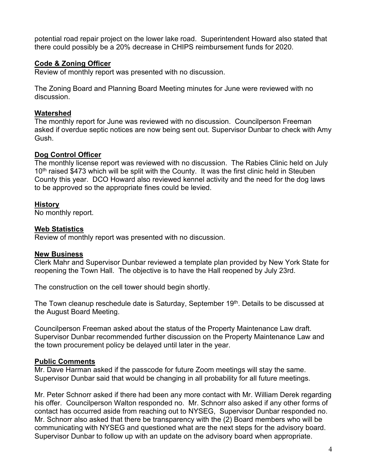potential road repair project on the lower lake road. Superintendent Howard also stated that there could possibly be a 20% decrease in CHIPS reimbursement funds for 2020.

# **Code & Zoning Officer**

Review of monthly report was presented with no discussion.

The Zoning Board and Planning Board Meeting minutes for June were reviewed with no discussion.

# **Watershed**

The monthly report for June was reviewed with no discussion. Councilperson Freeman asked if overdue septic notices are now being sent out. Supervisor Dunbar to check with Amy Gush.

# **Dog Control Officer**

The monthly license report was reviewed with no discussion. The Rabies Clinic held on July 10<sup>th</sup> raised \$473 which will be split with the County. It was the first clinic held in Steuben County this year. DCO Howard also reviewed kennel activity and the need for the dog laws to be approved so the appropriate fines could be levied.

# **History**

No monthly report.

# **Web Statistics**

Review of monthly report was presented with no discussion.

## **New Business**

Clerk Mahr and Supervisor Dunbar reviewed a template plan provided by New York State for reopening the Town Hall. The objective is to have the Hall reopened by July 23rd.

The construction on the cell tower should begin shortly.

The Town cleanup reschedule date is Saturday, September 19<sup>th</sup>. Details to be discussed at the August Board Meeting.

Councilperson Freeman asked about the status of the Property Maintenance Law draft. Supervisor Dunbar recommended further discussion on the Property Maintenance Law and the town procurement policy be delayed until later in the year.

## **Public Comments**

Mr. Dave Harman asked if the passcode for future Zoom meetings will stay the same. Supervisor Dunbar said that would be changing in all probability for all future meetings.

Mr. Peter Schnorr asked if there had been any more contact with Mr. William Derek regarding his offer. Councilperson Walton responded no. Mr. Schnorr also asked if any other forms of contact has occurred aside from reaching out to NYSEG, Supervisor Dunbar responded no. Mr. Schnorr also asked that there be transparency with the (2) Board members who will be communicating with NYSEG and questioned what are the next steps for the advisory board. Supervisor Dunbar to follow up with an update on the advisory board when appropriate.